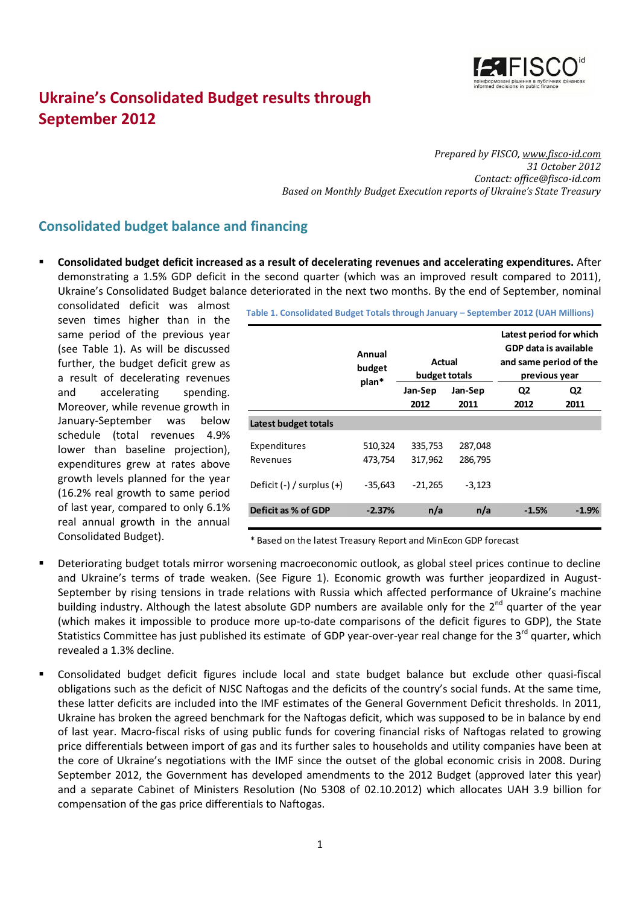

# **Ukraine's Consolidated Budget results through September 2012**

*Prepared by FISCO, [www.fisco-id.com](http://www.fisco-id.com/) 31 October 2012 Contact: office@fisco-id.com Based on Monthly Budget Execution reports of Ukraine's State Treasury*

## **Consolidated budget balance and financing**

 **Consolidated budget deficit increased as a result of decelerating revenues and accelerating expenditures.** After demonstrating a 1.5% GDP deficit in the second quarter (which was an improved result compared to 2011), Ukraine's Consolidated Budget balance deteriorated in the next two months. By the end of September, nominal

consolidated deficit was almost seven times higher than in the same period of the previous year (see [Table 1\)](#page-0-0). As will be discussed further, the budget deficit grew as a result of decelerating revenues and accelerating spending. Moreover, while revenue growth in January-September was below schedule (total revenues 4.9% lower than baseline projection), expenditures grew at rates above growth levels planned for the year (16.2% real growth to same period of last year, compared to only 6.1% real annual growth in the annual Consolidated Budget).

<span id="page-0-0"></span>**Table 1. Consolidated Budget Totals through January – September 2012 (UAH Millions)**

|                               | Annual<br>budget<br>plan* | Actual<br>budget totals |          | Latest period for which<br>GDP data is available<br>and same period of the<br>previous year |                |  |
|-------------------------------|---------------------------|-------------------------|----------|---------------------------------------------------------------------------------------------|----------------|--|
|                               |                           | Jan-Sep                 | Jan-Sep  | Q <sub>2</sub>                                                                              | Q <sub>2</sub> |  |
|                               |                           | 2012<br>2011            |          | 2012                                                                                        | 2011           |  |
| Latest budget totals          |                           |                         |          |                                                                                             |                |  |
| Expenditures                  | 510,324                   | 335,753                 | 287,048  |                                                                                             |                |  |
| Revenues                      | 473,754                   | 317,962                 | 286,795  |                                                                                             |                |  |
| Deficit $(-)$ / surplus $(+)$ | $-35,643$                 | $-21,265$               | $-3,123$ |                                                                                             |                |  |
| Deficit as % of GDP           | $-2.37%$                  | n/a                     | n/a      | $-1.5%$                                                                                     | $-1.9%$        |  |
|                               |                           |                         |          |                                                                                             |                |  |

\* Based on the latest Treasury Report and MinEcon GDP forecast

- Deteriorating budget totals mirror worsening macroeconomic outlook, as global steel prices continue to decline and Ukraine's terms of trade weaken. (See [Figure 1\)](#page-1-0). Economic growth was further jeopardized in August-September by rising tensions in trade relations with Russia which affected performance of Ukraine's machine building industry. Although the latest absolute GDP numbers are available only for the 2<sup>nd</sup> quarter of the year (which makes it impossible to produce more up-to-date comparisons of the deficit figures to GDP), the State Statistics Committee has just published its estimate of GDP year-over-year real change for the 3<sup>rd</sup> quarter, which revealed a 1.3% decline.
- Consolidated budget deficit figures include local and state budget balance but exclude other quasi-fiscal obligations such as the deficit of NJSC Naftogas and the deficits of the country's social funds. At the same time, these latter deficits are included into the IMF estimates of the General Government Deficit thresholds. In 2011, Ukraine has broken the agreed benchmark for the Naftogas deficit, which was supposed to be in balance by end of last year. Macro-fiscal risks of using public funds for covering financial risks of Naftogas related to growing price differentials between import of gas and its further sales to households and utility companies have been at the core of Ukraine's negotiations with the IMF since the outset of the global economic crisis in 2008. During September 2012, the Government has developed amendments to the 2012 Budget (approved later this year) and a separate Cabinet of Ministers Resolution (No 5308 of 02.10.2012) which allocates UAH 3.9 billion for compensation of the gas price differentials to Naftogas.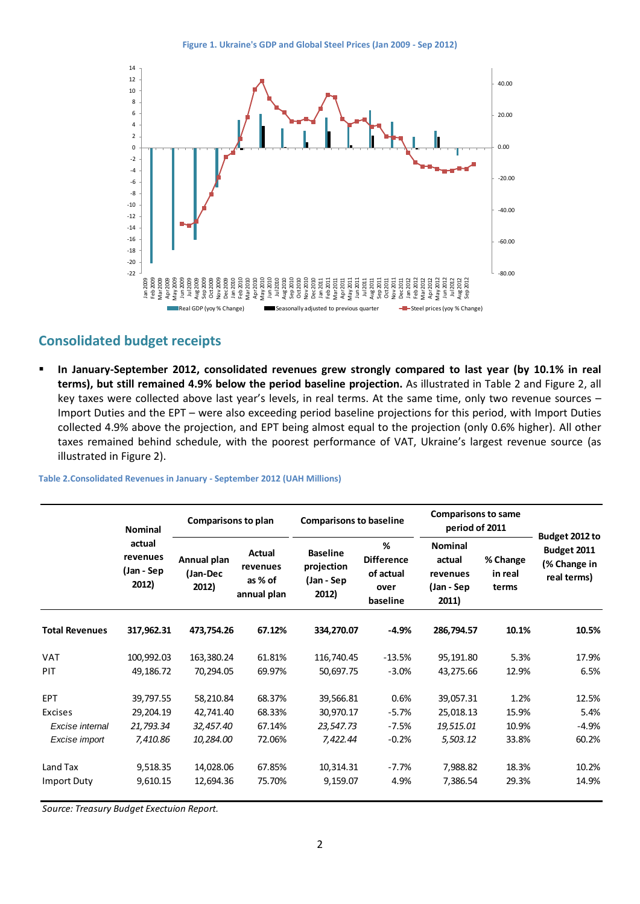<span id="page-1-0"></span>

### **Consolidated budget receipts**

 **In January-September 2012, consolidated revenues grew strongly compared to last year (by 10.1% in real terms), but still remained 4.9% below the period baseline projection.** As illustrated in [Table 2](#page-1-1) and [Figure 2,](#page-2-0) all key taxes were collected above last year's levels, in real terms. At the same time, only two revenue sources – Import Duties and the EPT – were also exceeding period baseline projections for this period, with Import Duties collected 4.9% above the projection, and EPT being almost equal to the projection (only 0.6% higher). All other taxes remained behind schedule, with the poorest performance of VAT, Ukraine's largest revenue source (as illustrated i[n Figure 2\)](#page-2-0).

<span id="page-1-1"></span>**Table 2.Consolidated Revenues in January - September 2012 (UAH Millions)**

|                       | <b>Nominal</b><br>actual<br>revenues<br>(Jan - Sep<br>2012) | <b>Comparisons to plan</b>       |                                              | <b>Comparisons to baseline</b>                       |                                                         | <b>Comparisons to same</b><br>period of 2011                |                              |                                                              |
|-----------------------|-------------------------------------------------------------|----------------------------------|----------------------------------------------|------------------------------------------------------|---------------------------------------------------------|-------------------------------------------------------------|------------------------------|--------------------------------------------------------------|
|                       |                                                             | Annual plan<br>(Jan-Dec<br>2012) | Actual<br>revenues<br>as % of<br>annual plan | <b>Baseline</b><br>projection<br>(Jan - Sep<br>2012) | %<br><b>Difference</b><br>of actual<br>over<br>baseline | <b>Nominal</b><br>actual<br>revenues<br>(Jan - Sep<br>2011) | % Change<br>in real<br>terms | Budget 2012 to<br>Budget 2011<br>(% Change in<br>real terms) |
| <b>Total Revenues</b> | 317,962.31                                                  | 473,754.26                       | 67.12%                                       | 334,270.07                                           | $-4.9%$                                                 | 286,794.57                                                  | 10.1%                        | 10.5%                                                        |
| <b>VAT</b>            | 100,992.03                                                  | 163,380.24                       | 61.81%                                       | 116,740.45                                           | $-13.5%$                                                | 95,191.80                                                   | 5.3%                         | 17.9%                                                        |
| PIT                   | 49,186.72                                                   | 70,294.05                        | 69.97%                                       | 50,697.75                                            | $-3.0%$                                                 | 43,275.66                                                   | 12.9%                        | 6.5%                                                         |
| <b>EPT</b>            | 39,797.55                                                   | 58,210.84                        | 68.37%                                       | 39,566.81                                            | 0.6%                                                    | 39,057.31                                                   | 1.2%                         | 12.5%                                                        |
| <b>Excises</b>        | 29,204.19                                                   | 42,741.40                        | 68.33%                                       | 30,970.17                                            | $-5.7%$                                                 | 25,018.13                                                   | 15.9%                        | 5.4%                                                         |
| Excise internal       | 21,793.34                                                   | 32,457.40                        | 67.14%                                       | 23,547.73                                            | $-7.5%$                                                 | 19,515.01                                                   | 10.9%                        | $-4.9%$                                                      |
| Excise import         | 7,410.86                                                    | 10,284.00                        | 72.06%                                       | 7,422.44                                             | $-0.2%$                                                 | 5,503.12                                                    | 33.8%                        | 60.2%                                                        |
| Land Tax              | 9,518.35                                                    | 14,028.06                        | 67.85%                                       | 10,314.31                                            | $-7.7%$                                                 | 7,988.82                                                    | 18.3%                        | 10.2%                                                        |
| <b>Import Duty</b>    | 9,610.15                                                    | 12,694.36                        | 75.70%                                       | 9,159.07                                             | 4.9%                                                    | 7,386.54                                                    | 29.3%                        | 14.9%                                                        |

*Source: Treasury Budget Exectuion Report.*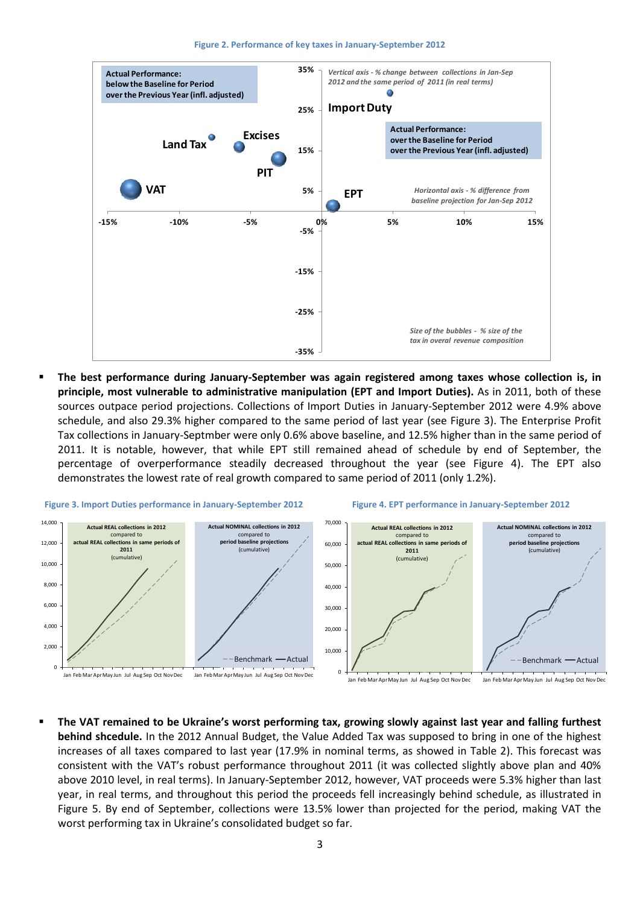**Figure 2. Performance of key taxes in January-September 2012**

<span id="page-2-0"></span>

 **The best performance during January-September was again registered among taxes whose collection is, in principle, most vulnerable to administrative manipulation (EPT and Import Duties).** As in 2011, both of these sources outpace period projections. Collections of Import Duties in January-September 2012 were 4.9% above schedule, and also 29.3% higher compared to the same period of last year (see [Figure 3\)](#page-2-1). The Enterprise Profit Tax collections in January-Septmber were only 0.6% above baseline, and 12.5% higher than in the same period of 2011. It is notable, however, that while EPT still remained ahead of schedule by end of September, the percentage of overperformance steadily decreased throughout the year (see [Figure 4\)](#page-2-2). The EPT also demonstrates the lowest rate of real growth compared to same period of 2011 (only 1.2%).

<span id="page-2-2"></span><span id="page-2-1"></span>



 **The VAT remained to be Ukraine's worst performing tax, growing slowly against last year and falling furthest behind shcedule.** In the 2012 Annual Budget, the Value Added Tax was supposed to bring in one of the highest increases of all taxes compared to last year (17.9% in nominal terms, as showed in [Table 2\)](#page-1-1). This forecast was consistent with the VAT's robust performance throughout 2011 (it was collected slightly above plan and 40% above 2010 level, in real terms). In January-September 2012, however, VAT proceeds were 5.3% higher than last year, in real terms, and throughout this period the proceeds fell increasingly behind schedule, as illustrated in [Figure 5.](#page-3-0) By end of September, collections were 13.5% lower than projected for the period, making VAT the worst performing tax in Ukraine's consolidated budget so far.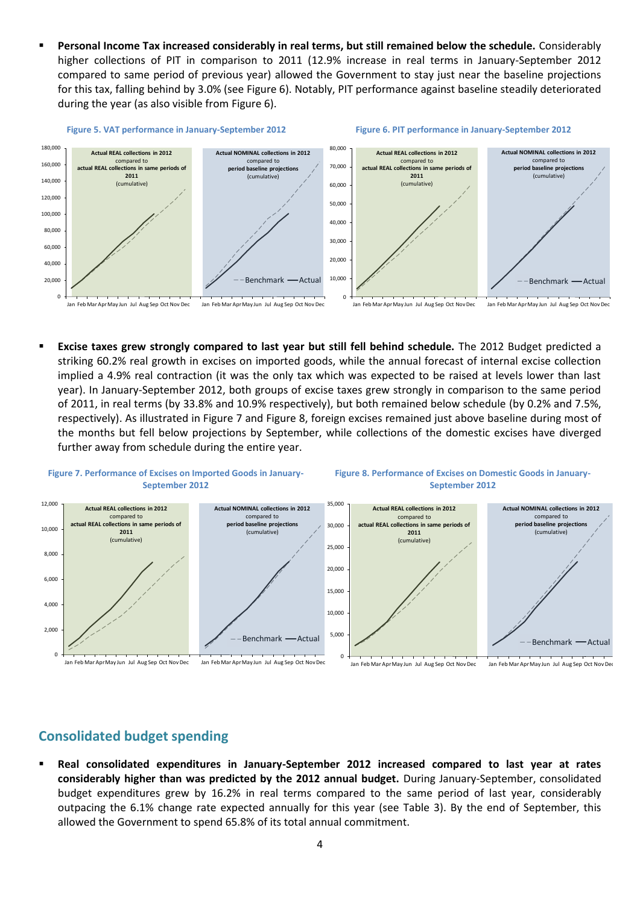<span id="page-3-1"></span> **Personal Income Tax increased considerably in real terms, but still remained below the schedule.** Considerably higher collections of PIT in comparison to 2011 (12.9% increase in real terms in January-September 2012 compared to same period of previous year) allowed the Government to stay just near the baseline projections for this tax, falling behind by 3.0% (see [Figure 6\)](#page-3-1). Notably, PIT performance against baseline steadily deteriorated during the year (as also visible from [Figure 6\)](#page-3-1).

<span id="page-3-0"></span>

<span id="page-3-3"></span> **Excise taxes grew strongly compared to last year but still fell behind schedule.** The 2012 Budget predicted a striking 60.2% real growth in excises on imported goods, while the annual forecast of internal excise collection implied a 4.9% real contraction (it was the only tax which was expected to be raised at levels lower than last year). In January-September 2012, both groups of excise taxes grew strongly in comparison to the same period of 2011, in real terms (by 33.8% and 10.9% respectively), but both remained below schedule (by 0.2% and 7.5%, respectively). As illustrated in [Figure 7](#page-3-2) an[d Figure 8,](#page-3-3) foreign excises remained just above baseline during most of the months but fell below projections by September, while collections of the domestic excises have diverged further away from schedule during the entire year.

<span id="page-3-2"></span>

# **Consolidated budget spending**

 **Real consolidated expenditures in January-September 2012 increased compared to last year at rates considerably higher than was predicted by the 2012 annual budget.** During January-September, consolidated budget expenditures grew by 16.2% in real terms compared to the same period of last year, considerably outpacing the 6.1% change rate expected annually for this year (see [Table 3\)](#page-4-0). By the end of September, this allowed the Government to spend 65.8% of its total annual commitment.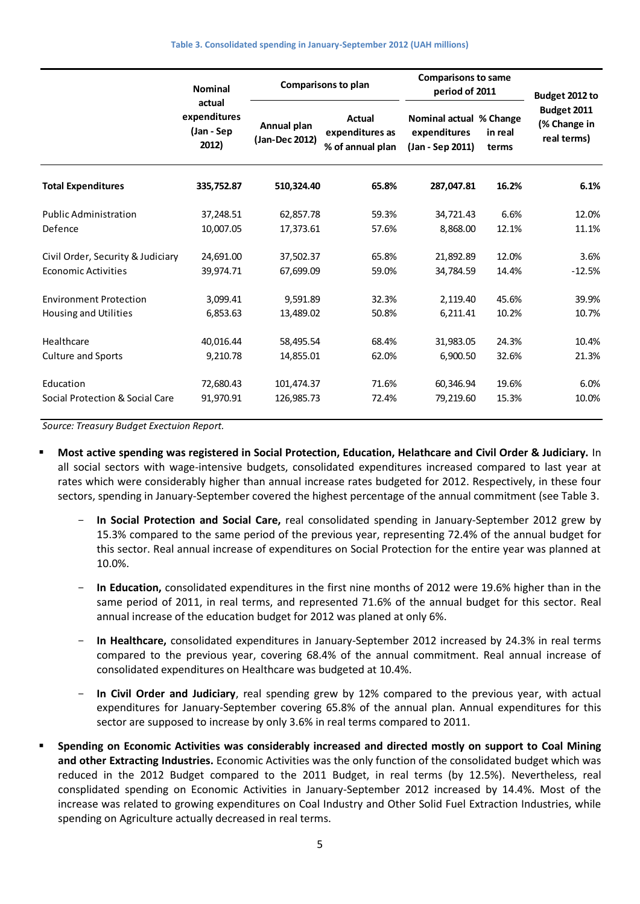<span id="page-4-0"></span>

|                                   | <b>Nominal</b><br>actual<br>expenditures<br>(Jan - Sep<br>2012) |                               | Comparisons to plan                                  | <b>Comparisons to same</b><br>period of 2011                |                  | Budget 2012 to                             |
|-----------------------------------|-----------------------------------------------------------------|-------------------------------|------------------------------------------------------|-------------------------------------------------------------|------------------|--------------------------------------------|
|                                   |                                                                 | Annual plan<br>(Jan-Dec 2012) | <b>Actual</b><br>expenditures as<br>% of annual plan | Nominal actual % Change<br>expenditures<br>(Jan - Sep 2011) | in real<br>terms | Budget 2011<br>(% Change in<br>real terms) |
| <b>Total Expenditures</b>         | 335,752.87                                                      | 510,324.40                    | 65.8%                                                | 287,047.81                                                  | 16.2%            | 6.1%                                       |
| <b>Public Administration</b>      | 37,248.51                                                       | 62,857.78                     | 59.3%                                                | 34,721.43                                                   | 6.6%             | 12.0%                                      |
| Defence                           | 10,007.05                                                       | 17,373.61                     | 57.6%                                                | 8,868.00                                                    | 12.1%            | 11.1%                                      |
| Civil Order, Security & Judiciary | 24,691.00                                                       | 37,502.37                     | 65.8%                                                | 21,892.89                                                   | 12.0%            | 3.6%                                       |
| <b>Economic Activities</b>        | 39,974.71                                                       | 67,699.09                     | 59.0%                                                | 34.784.59                                                   | 14.4%            | $-12.5%$                                   |
| <b>Environment Protection</b>     | 3,099.41                                                        | 9,591.89                      | 32.3%                                                | 2,119.40                                                    | 45.6%            | 39.9%                                      |
| Housing and Utilities             | 6,853.63                                                        | 13,489.02                     | 50.8%                                                | 6,211.41                                                    | 10.2%            | 10.7%                                      |
| Healthcare                        | 40,016.44                                                       | 58,495.54                     | 68.4%                                                | 31,983.05                                                   | 24.3%            | 10.4%                                      |
| <b>Culture and Sports</b>         | 9,210.78                                                        | 14,855.01                     | 62.0%                                                | 6,900.50                                                    | 32.6%            | 21.3%                                      |
| Education                         | 72,680.43                                                       | 101,474.37                    | 71.6%                                                | 60,346.94                                                   | 19.6%            | 6.0%                                       |
| Social Protection & Social Care   | 91,970.91                                                       | 126,985.73                    | 72.4%                                                | 79,219.60                                                   | 15.3%            | 10.0%                                      |

*Source: Treasury Budget Exectuion Report.*

- **Most active spending was registered in Social Protection, Education, Helathcare and Civil Order & Judiciary.** In all social sectors with wage-intensive budgets, consolidated expenditures increased compared to last year at rates which were considerably higher than annual increase rates budgeted for 2012. Respectively, in these four sectors, spending in January-September covered the highest percentage of the annual commitment (se[e Table 3.](#page-4-0)
	- **In Social Protection and Social Care,** real consolidated spending in January-September 2012 grew by 15.3% compared to the same period of the previous year, representing 72.4% of the annual budget for this sector. Real annual increase of expenditures on Social Protection for the entire year was planned at 10.0%.
	- In Education, consolidated expenditures in the first nine months of 2012 were 19.6% higher than in the same period of 2011, in real terms, and represented 71.6% of the annual budget for this sector. Real annual increase of the education budget for 2012 was planed at only 6%.
	- **In Healthcare,** consolidated expenditures in January-September 2012 increased by 24.3% in real terms compared to the previous year, covering 68.4% of the annual commitment. Real annual increase of consolidated expenditures on Healthcare was budgeted at 10.4%.
	- **In Civil Order and Judiciary**, real spending grew by 12% compared to the previous year, with actual expenditures for January-September covering 65.8% of the annual plan. Annual expenditures for this sector are supposed to increase by only 3.6% in real terms compared to 2011.
- **Spending on Economic Activities was considerably increased and directed mostly on support to Coal Mining and other Extracting Industries.** Economic Activities was the only function of the consolidated budget which was reduced in the 2012 Budget compared to the 2011 Budget, in real terms (by 12.5%). Nevertheless, real consplidated spending on Economic Activities in January-September 2012 increased by 14.4%. Most of the increase was related to growing expenditures on Coal Industry and Other Solid Fuel Extraction Industries, while spending on Agriculture actually decreased in real terms.